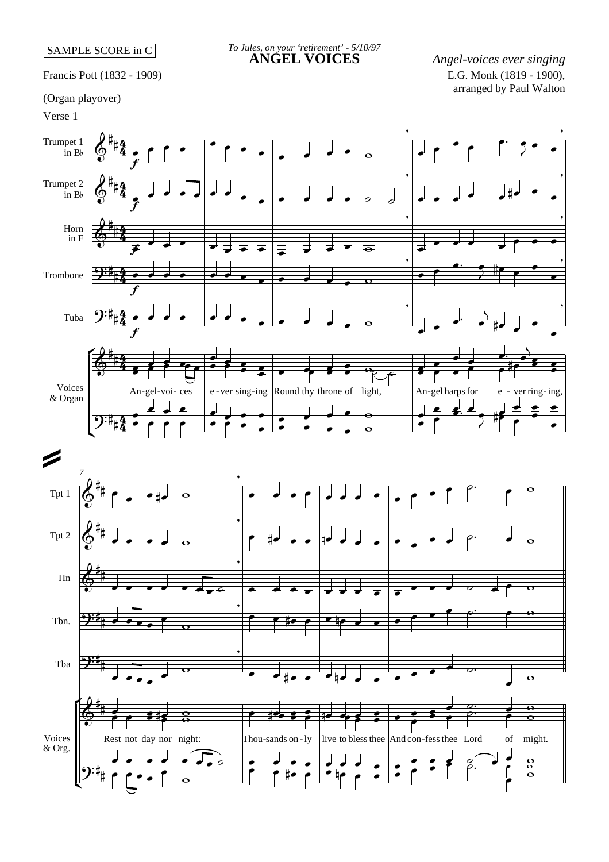## SAMPLE SCORE in C

Francis Pott (1832 - 1909)

## *To Jules, on your 'retirement' - 5/10/97*

**ANGEL VOICES** *Angel-voices ever singing* E.G. Monk (1819 - 1900), arranged by Paul Walton

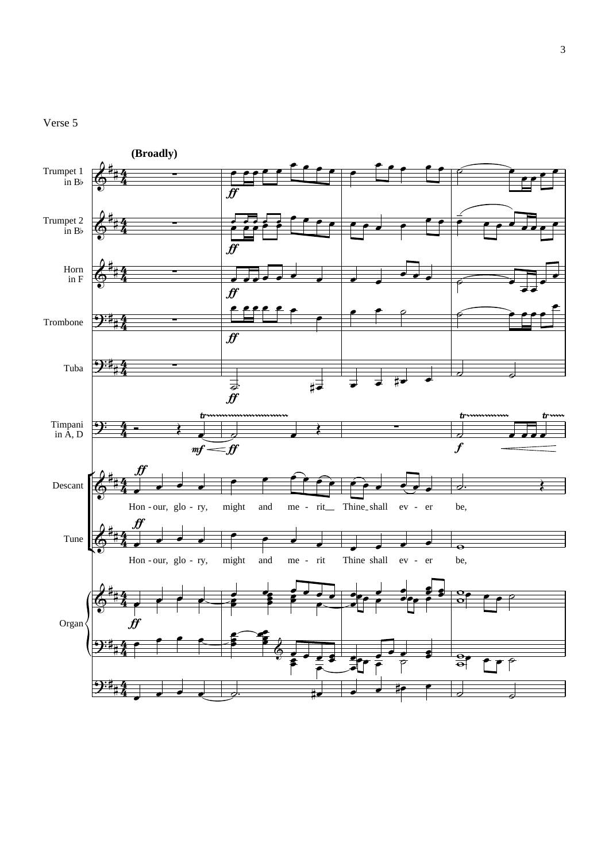